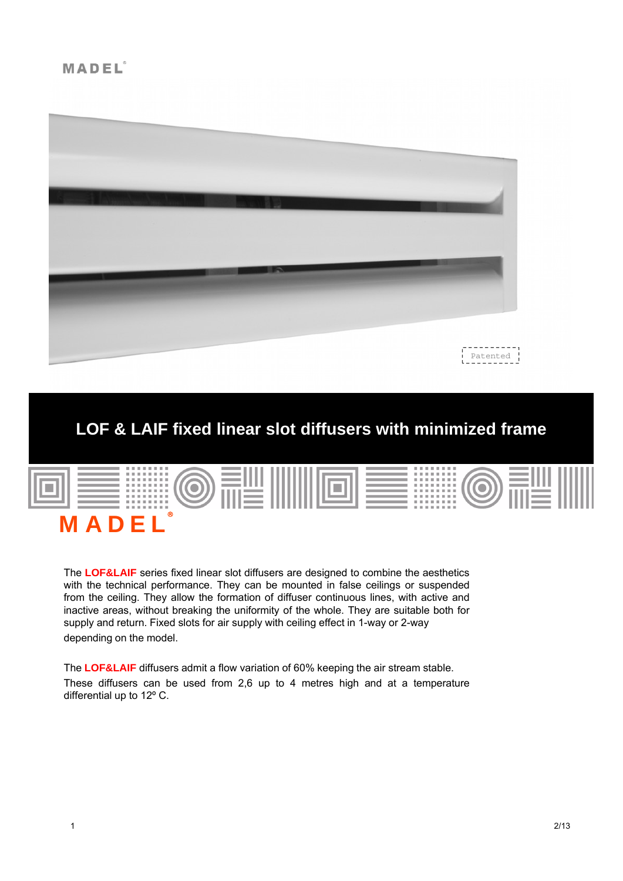

# **LOF & LAIF fixed linear slot diffusers with minimized frame**



The **LOF&LAIF** series fixed linear slot diffusers are designed to combine the aesthetics with the technical performance. They can be mounted in false ceilings or suspended from the ceiling. They allow the formation of diffuser continuous lines, with active and inactive areas, without breaking the uniformity of the whole. They are suitable both for supply and return. Fixed slots for air supply with ceiling effect in 1-way or 2-way depending on the model.

The **LOF&LAIF** diffusers admit a flow variation of 60% keeping the air stream stable. These diffusers can be used from 2,6 up to 4 metres high and at a temperature differential up to 12º C.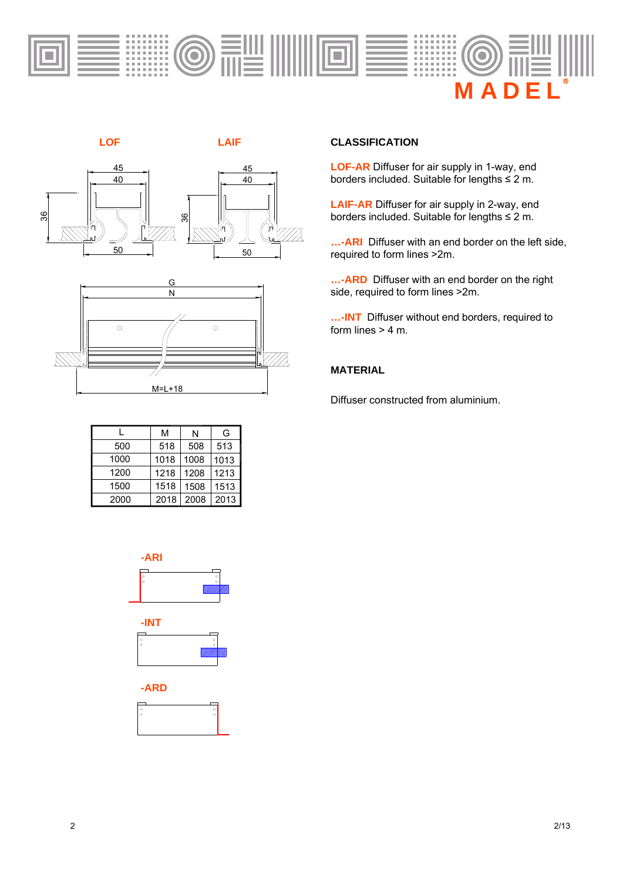





|      | м    | N    | G    |
|------|------|------|------|
| 500  | 518  | 508  | 513  |
| 1000 | 1018 | 1008 | 1013 |
| 1200 | 1218 | 1208 | 1213 |
| 1500 | 1518 | 1508 | 1513 |
| 2000 | 2018 | 2008 | 2013 |



#### **CLASSIFICATION**

**LOF-AR** Diffuser for air supply in 1-way, end borders included. Suitable for lengths ≤ 2 m.

**LAIF-AR** Diffuser for air supply in 2-way, end borders included. Suitable for lengths ≤ 2 m.

**…-ARI** Diffuser with an end border on the left side, required to form lines >2m.

**…-ARD** Diffuser with an end border on the right side, required to form lines >2m.

**…-INT** Diffuser without end borders, required to form lines  $> 4$  m.

# **MATERIAL**

Diffuser constructed from aluminium.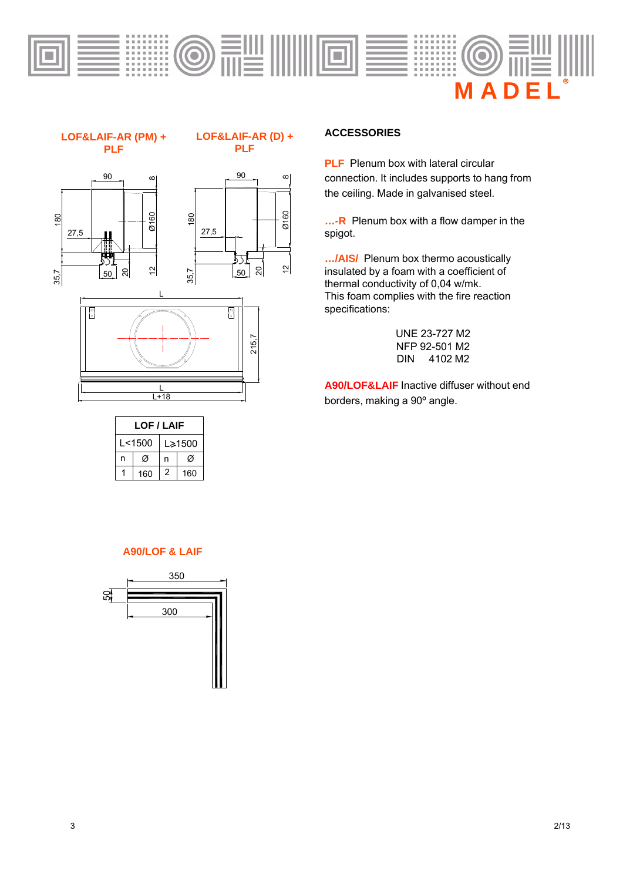

#### **LOF&LAIF-AR (PM) + PLF**

#### **LOF&LAIF-AR (D) + PLF**

 $\infty$ 







| <b>LOF / LAIF</b> |     |        |     |  |  |  |
|-------------------|-----|--------|-----|--|--|--|
| l <1500           |     | L≽1500 |     |  |  |  |
| n                 | Ø   | n      | Ø   |  |  |  |
|                   | 160 | 2      | 160 |  |  |  |

#### **ACCESSORIES**

**PLF** Plenum box with lateral circular connection. It includes supports to hang from the ceiling. Made in galvanised steel.

**…-R** Plenum box with a flow damper in the spigot.

**…/AIS/** Plenum box thermo acoustically insulated by a foam with a coefficient of thermal conductivity of 0,04 w/mk. This foam complies with the fire reaction specifications:

> UNE 23-727 M2 NFP 92-501 M2 DIN 4102 M2

**A90/LOF&LAIF** Inactive diffuser without end borders, making a 90º angle.

#### **A90/LOF & LAIF**

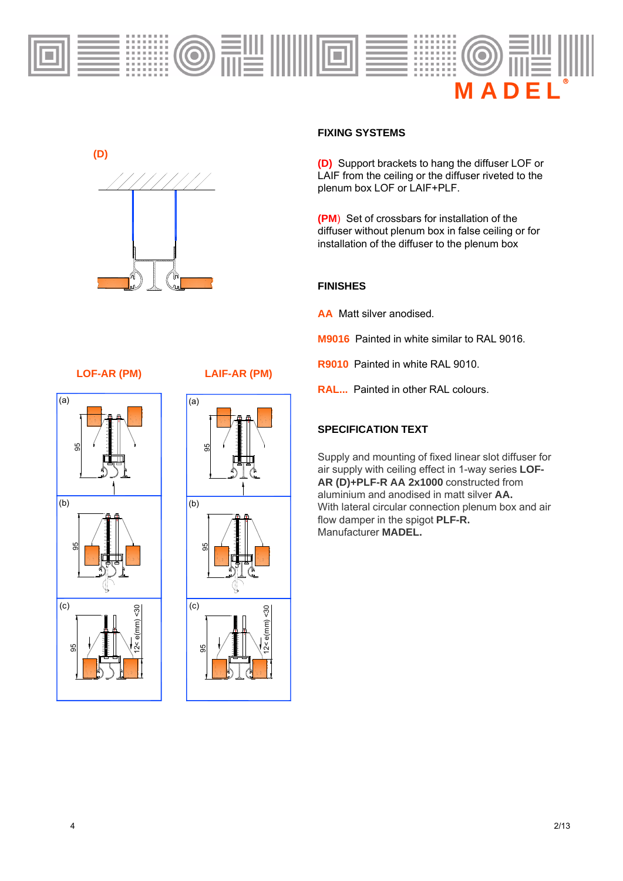



#### **FIXING SYSTEMS**

**(D)** Support brackets to hang the diffuser LOF or LAIF from the ceiling or the diffuser riveted to the plenum box LOF or LAIF+PLF.

**(PM**) Set of crossbars for installation of the diffuser without plenum box in false ceiling or for installation of the diffuser to the plenum box

### **FINISHES**

**AA** Matt silver anodised.

- **M9016** Painted in white similar to RAL 9016.
- **R9010** Painted in white RAL 9010.
- **RAL...** Painted in other RAL colours.

# **SPECIFICATION TEXT**

Supply and mounting of fixed linear slot diffuser for air supply with ceiling effect in 1-way series **LOF-AR (D)+PLF-R AA 2x1000** constructed from aluminium and anodised in matt silver **AA.** With lateral circular connection plenum box and air flow damper in the spigot **PLF-R.**  Manufacturer **MADEL.**

# **LOF-AR (PM) LAIF-AR (PM)**



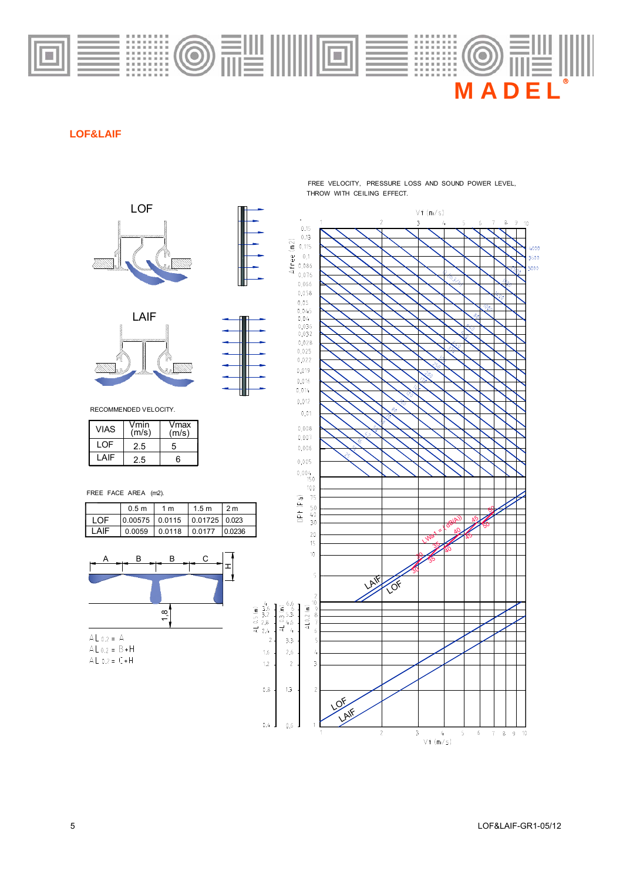

# **LOF&LAIF**





RECOMMENDED VELOCITY.

| <b>VIAS</b> | Vmin<br>(m/s) | Vmax<br>(m/s) |
|-------------|---------------|---------------|
| LOF         | 2.5           | 5             |
| I AIF       | 2.5           | հ             |

FREE FACE AREA (m2).

|       | 0.5 <sub>m</sub>             | 1 m                        | 1.5 <sub>m</sub> | 2 m    |
|-------|------------------------------|----------------------------|------------------|--------|
| LOF.  | 0.00575 0.0115 0.01725 0.023 |                            |                  |        |
| I AIF |                              | $0.0059$ $0.0118$ $0.0177$ |                  | 0.0236 |



AL  $0.2 = C + H$ 

THROW WITH CEILING EFFECT. FREE VELOCITY, PRESSURE LOSS AND SOUND POWER LEVEL,